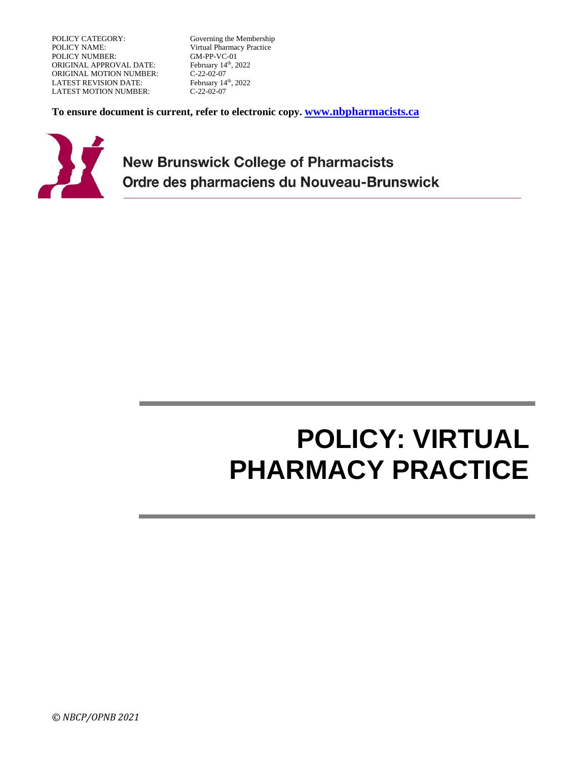POLICY CATEGORY: Governing the Membership<br>
POLICY NAME: Virtual Pharmacy Practice POLICY NUMBER: ORIGINAL APPROVAL DATE: February 14<br>
ORIGINAL MOTION NUMBER: C-22-02-07 ORIGINAL MOTION NUMBER: LATEST REVISION DATE: February 14<sup>th</sup>, 2022<br>LATEST MOTION NUMBER: C-22-02-07 LATEST MOTION NUMBER:

Virtual Pharmacy Practice<br>GM-PP-VC-01 February 14th, 2022

**To ensure document is current, refer to electronic copy. [www.nbpharmacists.ca](http://www.nbpharmacists.ca/)**



**New Brunswick College of Pharmacists** Ordre des pharmaciens du Nouveau-Brunswick

# **POLICY: VIRTUAL PHARMACY PRACTICE**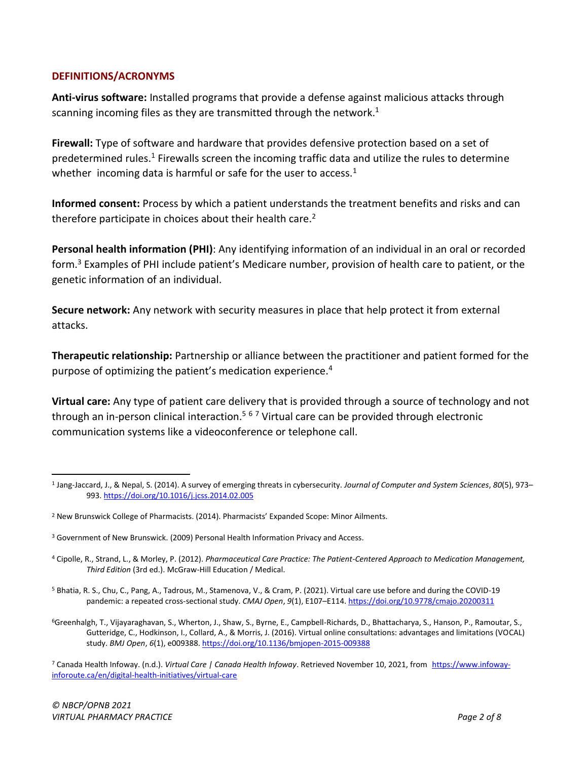#### **DEFINITIONS/ACRONYMS**

<span id="page-1-0"></span>**Anti-virus software:** Installed programs that provide a defense against malicious attacks through scanning incoming files as they are transmitted through the network.<sup>1</sup>

**Firewall:** Type of software and hardware that provides defensive protection based on a set of predetermined rules.<sup>[1](#page-1-0)</sup> Firewalls screen the incoming traffic data and utilize the rules to determine whether incoming data is harmful or safe for the user to access.<sup>[1](#page-1-0)</sup>

**Informed consent:** Process by which a patient understands the treatment benefits and risks and can therefore participate in choices about their health care. $2$ 

**Personal health information (PHI)**: Any identifying information of an individual in an oral or recorded form.<sup>3</sup> Examples of PHI include patient's Medicare number, provision of health care to patient, or the genetic information of an individual.

**Secure network:** Any network with security measures in place that help protect it from external attacks.

**Therapeutic relationship:** Partnership or alliance between the practitioner and patient formed for the purpose of optimizing the patient's medication experience.<sup>4</sup>

<span id="page-1-1"></span>**Virtual care:** Any type of patient care delivery that is provided through a source of technology and not through an in-person clinical interaction.<sup>5 6 7</sup> Virtual care can be provided through electronic communication systems like a videoconference or telephone call.

<sup>1</sup> Jang-Jaccard, J., & Nepal, S. (2014). A survey of emerging threats in cybersecurity. *Journal of Computer and System Sciences*, *80*(5), 973– 993.<https://doi.org/10.1016/j.jcss.2014.02.005>

<sup>&</sup>lt;sup>2</sup> New Brunswick College of Pharmacists. (2014). Pharmacists' Expanded Scope: Minor Ailments.

<sup>3</sup> Government of New Brunswick. (2009) Personal Health Information Privacy and Access.

<sup>4</sup> Cipolle, R., Strand, L., & Morley, P. (2012). *Pharmaceutical Care Practice: The Patient-Centered Approach to Medication Management, Third Edition* (3rd ed.). McGraw-Hill Education / Medical.

<sup>5</sup> Bhatia, R. S., Chu, C., Pang, A., Tadrous, M., Stamenova, V., & Cram, P. (2021). Virtual care use before and during the COVID-19 pandemic: a repeated cross-sectional study. *CMAJ Open*, *9*(1), E107–E114.<https://doi.org/10.9778/cmajo.20200311>

<sup>6</sup>Greenhalgh, T., Vijayaraghavan, S., Wherton, J., Shaw, S., Byrne, E., Campbell-Richards, D., Bhattacharya, S., Hanson, P., Ramoutar, S., Gutteridge, C., Hodkinson, I., Collard, A., & Morris, J. (2016). Virtual online consultations: advantages and limitations (VOCAL) study. *BMJ Open*, *6*(1), e009388[. https://doi.org/10.1136/bmjopen-2015-009388](https://doi.org/10.1136/bmjopen-2015-009388)

<sup>7</sup> Canada Health Infoway. (n.d.). *Virtual Care | Canada Health Infoway*. Retrieved November 10, 2021, from [https://www.infoway](https://www.infoway-inforoute.ca/en/digital-health-initiatives/virtual-care)[inforoute.ca/en/digital-health-initiatives/virtual-care](https://www.infoway-inforoute.ca/en/digital-health-initiatives/virtual-care)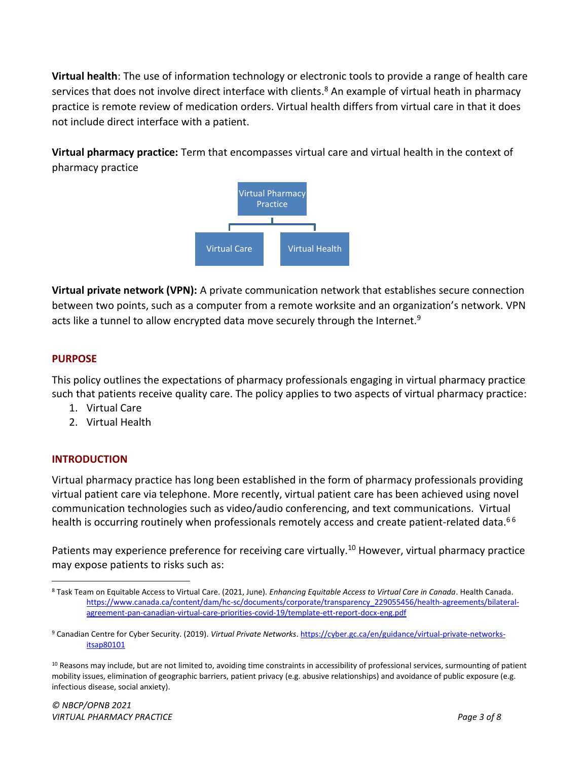**Virtual health**: The use of information technology or electronic tools to provide a range of health care services that does not involve direct interface with clients.<sup>8</sup> An example of virtual heath in pharmacy practice is remote review of medication orders. Virtual health differs from virtual care in that it does not include direct interface with a patient.

**Virtual pharmacy practice:** Term that encompasses virtual care and virtual health in the context of pharmacy practice



**Virtual private network (VPN):** A private communication network that establishes secure connection between two points, such as a computer from a remote worksite and an organization's network. VPN acts like a tunnel to allow encrypted data move securely through the Internet.<sup>9</sup>

# **PURPOSE**

This policy outlines the expectations of pharmacy professionals engaging in virtual pharmacy practice such that patients receive quality care. The policy applies to two aspects of virtual pharmacy practice:

- 1. Virtual Care
- 2. Virtual Health

# **INTRODUCTION**

Virtual pharmacy practice has long been established in the form of pharmacy professionals providing virtual patient care via telephone. More recently, virtual patient care has been achieved using novel communication technologies such as video/audio conferencing, and text communications. Virtual health is occurring routinely when professionals remotely access and create patient-related data.<sup>[6](#page-1-1)6</sup>

Patients may experience preference for receiving care virtually.<sup>10</sup> However, virtual pharmacy practice may expose patients to risks such as:

<sup>8</sup> Task Team on Equitable Access to Virtual Care. (2021, June). *Enhancing Equitable Access to Virtual Care in Canada*. Health Canada. [https://www.canada.ca/content/dam/hc-sc/documents/corporate/transparency\\_229055456/health-agreements/bilateral](https://www.canada.ca/content/dam/hc-sc/documents/corporate/transparency_229055456/health-agreements/bilateral-agreement-pan-canadian-virtual-care-priorities-covid-19/template-ett-report-docx-eng.pdf)[agreement-pan-canadian-virtual-care-priorities-covid-19/template-ett-report-docx-eng.pdf](https://www.canada.ca/content/dam/hc-sc/documents/corporate/transparency_229055456/health-agreements/bilateral-agreement-pan-canadian-virtual-care-priorities-covid-19/template-ett-report-docx-eng.pdf)

<sup>9</sup> Canadian Centre for Cyber Security. (2019). *Virtual Private Networks*. [https://cyber.gc.ca/en/guidance/virtual-private-networks](https://cyber.gc.ca/en/guidance/virtual-private-networks-itsap80101)[itsap80101](https://cyber.gc.ca/en/guidance/virtual-private-networks-itsap80101)

<sup>10</sup> Reasons may include, but are not limited to, avoiding time constraints in accessibility of professional services, surmounting of patient mobility issues, elimination of geographic barriers, patient privacy (e.g. abusive relationships) and avoidance of public exposure (e.g. infectious disease, social anxiety).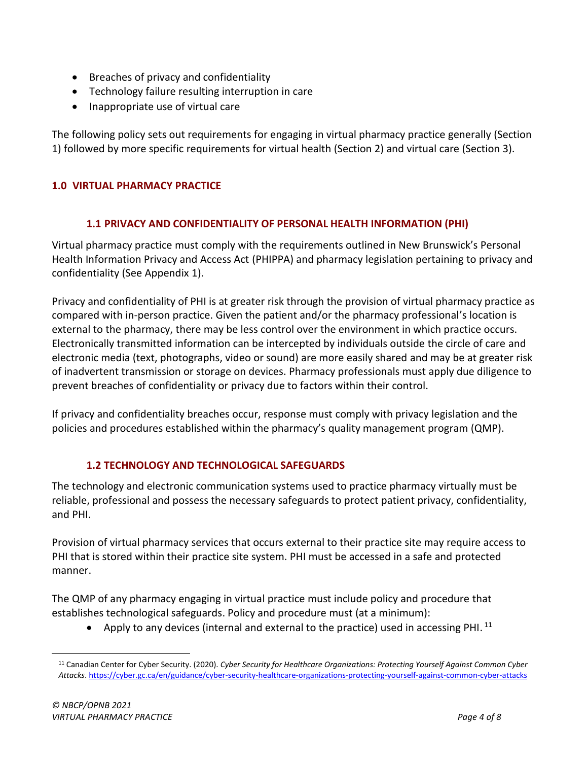- Breaches of privacy and confidentiality
- Technology failure resulting interruption in care
- Inappropriate use of virtual care

The following policy sets out requirements for engaging in virtual pharmacy practice generally (Section 1) followed by more specific requirements for virtual health (Section 2) and virtual care (Section 3).

#### **1.0 VIRTUAL PHARMACY PRACTICE**

#### **1.1 PRIVACY AND CONFIDENTIALITY OF PERSONAL HEALTH INFORMATION (PHI)**

Virtual pharmacy practice must comply with the requirements outlined in New Brunswick's Personal Health Information Privacy and Access Act (PHIPPA) and pharmacy legislation pertaining to privacy and confidentiality (See Appendix 1).

Privacy and confidentiality of PHI is at greater risk through the provision of virtual pharmacy practice as compared with in-person practice. Given the patient and/or the pharmacy professional's location is external to the pharmacy, there may be less control over the environment in which practice occurs. Electronically transmitted information can be intercepted by individuals outside the circle of care and electronic media (text, photographs, video or sound) are more easily shared and may be at greater risk of inadvertent transmission or storage on devices. Pharmacy professionals must apply due diligence to prevent breaches of confidentiality or privacy due to factors within their control.

If privacy and confidentiality breaches occur, response must comply with privacy legislation and the policies and procedures established within the pharmacy's quality management program (QMP).

# **1.2 TECHNOLOGY AND TECHNOLOGICAL SAFEGUARDS**

The technology and electronic communication systems used to practice pharmacy virtually must be reliable, professional and possess the necessary safeguards to protect patient privacy, confidentiality, and PHI.

Provision of virtual pharmacy services that occurs external to their practice site may require access to PHI that is stored within their practice site system. PHI must be accessed in a safe and protected manner.

The QMP of any pharmacy engaging in virtual practice must include policy and procedure that establishes technological safeguards. Policy and procedure must (at a minimum):

• Apply to any devices (internal and external to the practice) used in accessing PHI.<sup>11</sup>

<sup>11</sup> Canadian Center for Cyber Security. (2020). *Cyber Security for Healthcare Organizations: Protecting Yourself Against Common Cyber Attacks*[. https://cyber.gc.ca/en/guidance/cyber-security-healthcare-organizations-protecting-yourself-against-common-cyber-attacks](https://cyber.gc.ca/en/guidance/cyber-security-healthcare-organizations-protecting-yourself-against-common-cyber-attacks)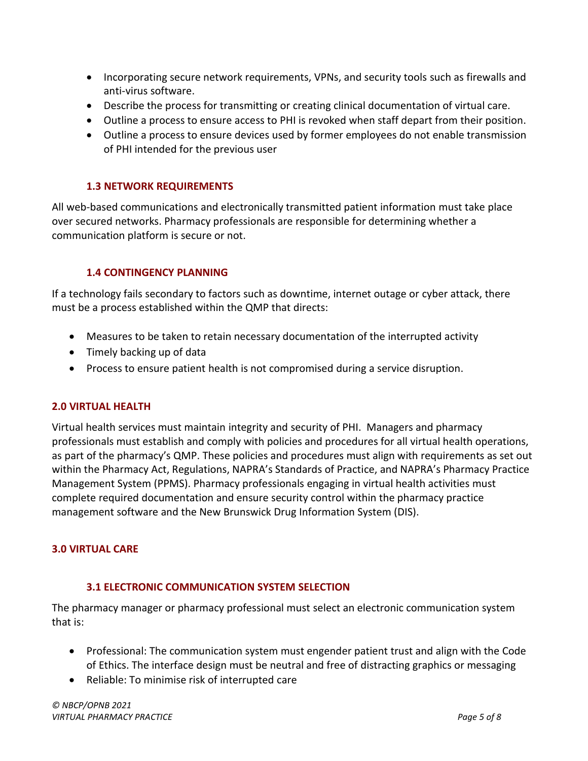- Incorporating secure network requirements, VPNs, and security tools such as firewalls and anti-virus software.
- Describe the process for transmitting or creating clinical documentation of virtual care.
- Outline a process to ensure access to PHI is revoked when staff depart from their position.
- Outline a process to ensure devices used by former employees do not enable transmission of PHI intended for the previous user

#### **1.3 NETWORK REQUIREMENTS**

All web-based communications and electronically transmitted patient information must take place over secured networks. Pharmacy professionals are responsible for determining whether a communication platform is secure or not.

#### **1.4 CONTINGENCY PLANNING**

If a technology fails secondary to factors such as downtime, internet outage or cyber attack, there must be a process established within the QMP that directs:

- Measures to be taken to retain necessary documentation of the interrupted activity
- Timely backing up of data
- Process to ensure patient health is not compromised during a service disruption.

#### **2.0 VIRTUAL HEALTH**

Virtual health services must maintain integrity and security of PHI. Managers and pharmacy professionals must establish and comply with policies and procedures for all virtual health operations, as part of the pharmacy's QMP. These policies and procedures must align with requirements as set out within the Pharmacy Act, Regulations, NAPRA's Standards of Practice, and NAPRA's Pharmacy Practice Management System (PPMS). Pharmacy professionals engaging in virtual health activities must complete required documentation and ensure security control within the pharmacy practice management software and the New Brunswick Drug Information System (DIS).

# **3.0 VIRTUAL CARE**

#### **3.1 ELECTRONIC COMMUNICATION SYSTEM SELECTION**

The pharmacy manager or pharmacy professional must select an electronic communication system that is:

- Professional: The communication system must engender patient trust and align with the Code of Ethics. The interface design must be neutral and free of distracting graphics or messaging
- Reliable: To minimise risk of interrupted care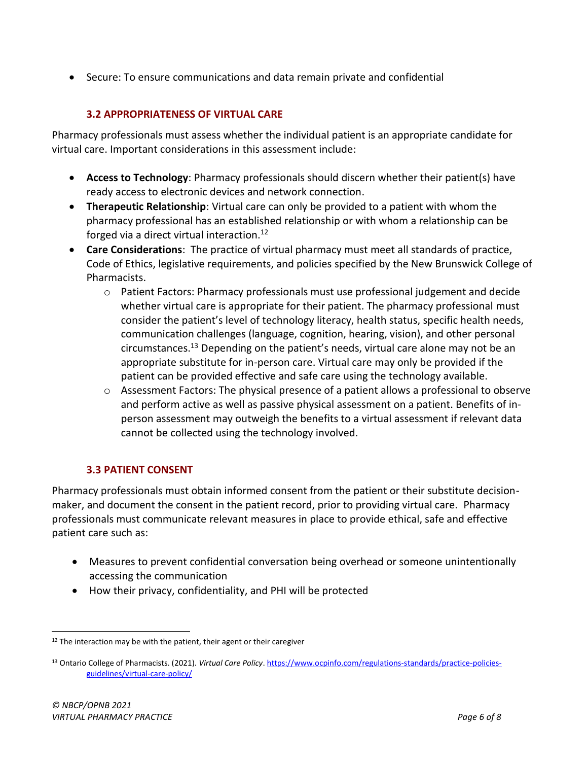• Secure: To ensure communications and data remain private and confidential

# **3.2 APPROPRIATENESS OF VIRTUAL CARE**

Pharmacy professionals must assess whether the individual patient is an appropriate candidate for virtual care. Important considerations in this assessment include:

- **Access to Technology**: Pharmacy professionals should discern whether their patient(s) have ready access to electronic devices and network connection.
- **Therapeutic Relationship**: Virtual care can only be provided to a patient with whom the pharmacy professional has an established relationship or with whom a relationship can be forged via a direct virtual interaction.<sup>12</sup>
- **Care Considerations**: The practice of virtual pharmacy must meet all standards of practice, Code of Ethics, legislative requirements, and policies specified by the New Brunswick College of Pharmacists.
	- $\circ$  Patient Factors: Pharmacy professionals must use professional judgement and decide whether virtual care is appropriate for their patient. The pharmacy professional must consider the patient's level of technology literacy, health status, specific health needs, communication challenges (language, cognition, hearing, vision), and other personal circumstances.<sup>13</sup> Depending on the patient's needs, virtual care alone may not be an appropriate substitute for in-person care. Virtual care may only be provided if the patient can be provided effective and safe care using the technology available.
	- o Assessment Factors: The physical presence of a patient allows a professional to observe and perform active as well as passive physical assessment on a patient. Benefits of inperson assessment may outweigh the benefits to a virtual assessment if relevant data cannot be collected using the technology involved.

# **3.3 PATIENT CONSENT**

Pharmacy professionals must obtain informed consent from the patient or their substitute decisionmaker, and document the consent in the patient record, prior to providing virtual care. Pharmacy professionals must communicate relevant measures in place to provide ethical, safe and effective patient care such as:

- Measures to prevent confidential conversation being overhead or someone unintentionally accessing the communication
- How their privacy, confidentiality, and PHI will be protected

 $12$  The interaction may be with the patient, their agent or their caregiver

<sup>13</sup> Ontario College of Pharmacists. (2021). *Virtual Care Policy*[. https://www.ocpinfo.com/regulations-standards/practice-policies](https://www.ocpinfo.com/regulations-standards/practice-policies-guidelines/virtual-care-policy/)[guidelines/virtual-care-policy/](https://www.ocpinfo.com/regulations-standards/practice-policies-guidelines/virtual-care-policy/)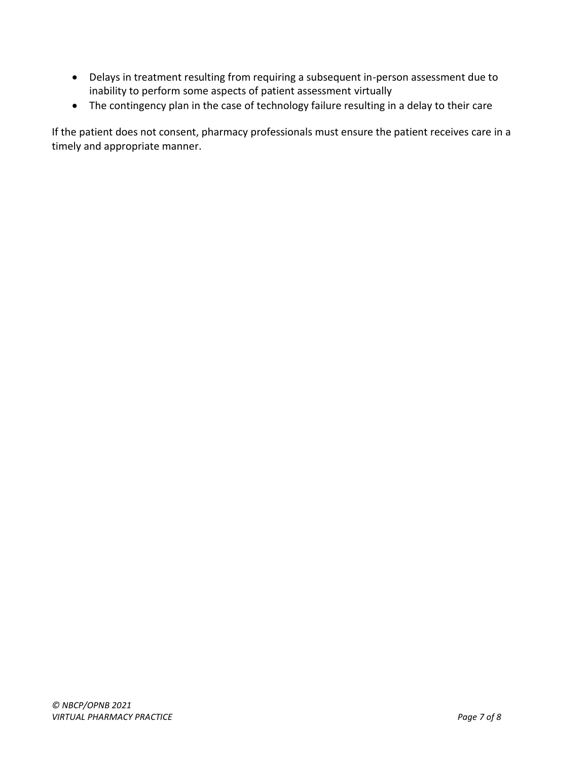- Delays in treatment resulting from requiring a subsequent in-person assessment due to inability to perform some aspects of patient assessment virtually
- The contingency plan in the case of technology failure resulting in a delay to their care

If the patient does not consent, pharmacy professionals must ensure the patient receives care in a timely and appropriate manner.